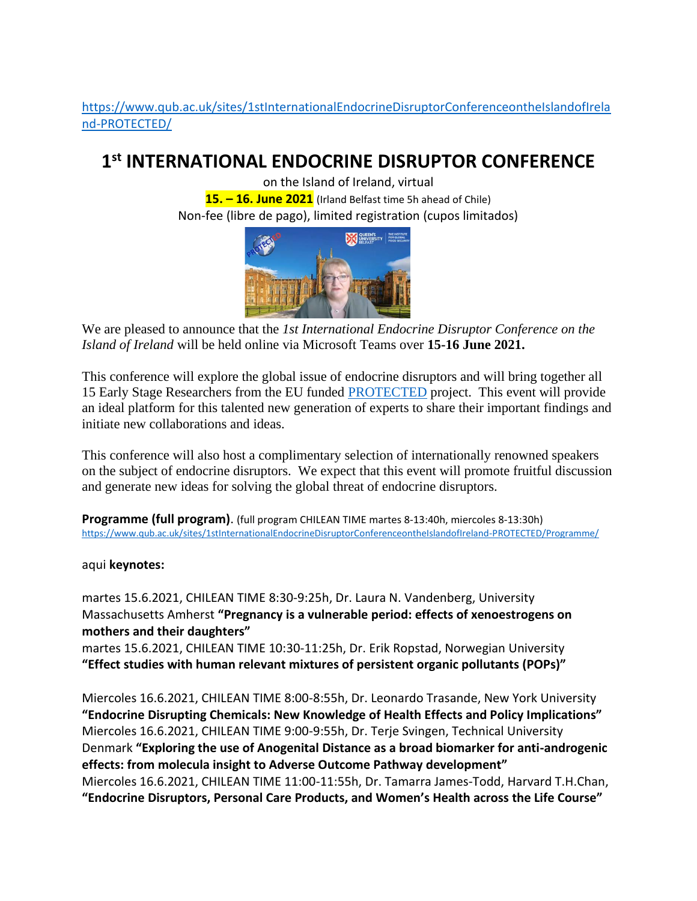[https://www.qub.ac.uk/sites/1stInternationalEndocrineDisruptorConferenceontheIslandofIrela](https://www.qub.ac.uk/sites/1stInternationalEndocrineDisruptorConferenceontheIslandofIreland-PROTECTED/) [nd-PROTECTED/](https://www.qub.ac.uk/sites/1stInternationalEndocrineDisruptorConferenceontheIslandofIreland-PROTECTED/)

## **1 st INTERNATIONAL ENDOCRINE DISRUPTOR CONFERENCE**

on the Island of Ireland, virtual **15. – 16. June 2021** (Irland Belfast time 5h ahead of Chile) Non-fee (libre de pago), limited registration (cupos limitados)



We are pleased to announce that the *1st International Endocrine Disruptor Conference on the Island of Ireland* will be held online via Microsoft Teams over **15-16 June 2021.**

This conference will explore the global issue of endocrine disruptors and will bring together all 15 Early Stage Researchers from the EU funded [PROTECTED](http://protected.eu.com/) project. This event will provide an ideal platform for this talented new generation of experts to share their important findings and initiate new collaborations and ideas.

This conference will also host a complimentary selection of internationally renowned speakers on the subject of endocrine disruptors. We expect that this event will promote fruitful discussion and generate new ideas for solving the global threat of endocrine disruptors.

**Programme (full program)**. (full program CHILEAN TIME martes 8-13:40h, miercoles 8-13:30h) <https://www.qub.ac.uk/sites/1stInternationalEndocrineDisruptorConferenceontheIslandofIreland-PROTECTED/Programme/>

## aqui **keynotes:**

martes 15.6.2021, CHILEAN TIME 8:30-9:25h, Dr. Laura N. Vandenberg, University Massachusetts Amherst **"Pregnancy is a vulnerable period: effects of xenoestrogens on mothers and their daughters"**

martes 15.6.2021, CHILEAN TIME 10:30-11:25h, Dr. Erik Ropstad, Norwegian University **"Effect studies with human relevant mixtures of persistent organic pollutants (POPs)"**

Miercoles 16.6.2021, CHILEAN TIME 8:00-8:55h, Dr. Leonardo Trasande, New York University **"Endocrine Disrupting Chemicals: New Knowledge of Health Effects and Policy Implications"** Miercoles 16.6.2021, CHILEAN TIME 9:00-9:55h, Dr. Terje Svingen, Technical University Denmark **"Exploring the use of Anogenital Distance as a broad biomarker for anti-androgenic effects: from molecula insight to Adverse Outcome Pathway development"** Miercoles 16.6.2021, CHILEAN TIME 11:00-11:55h, Dr. Tamarra James-Todd, Harvard T.H.Chan, **"Endocrine Disruptors, Personal Care Products, and Women's Health across the Life Course"**